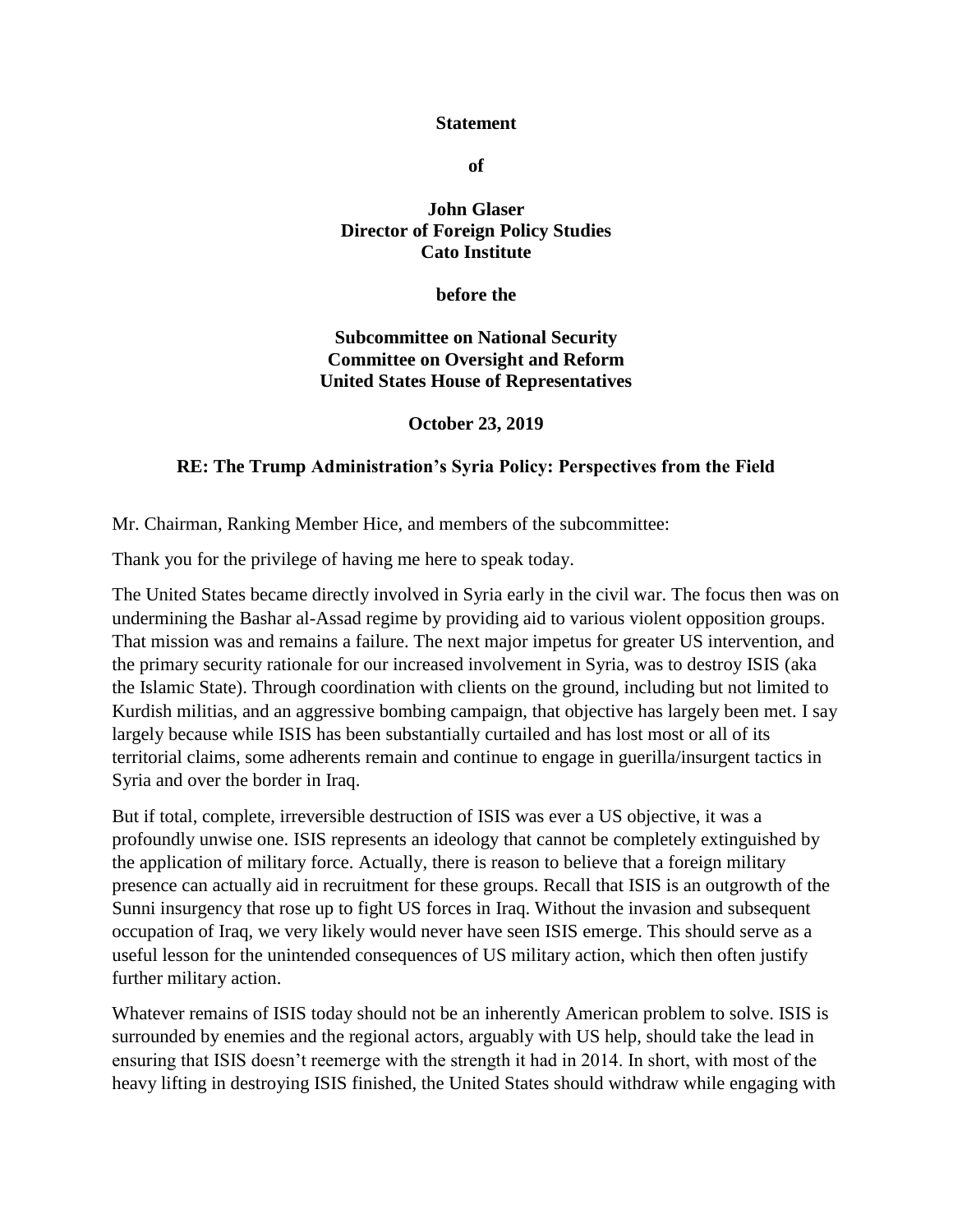## **Statement**

**of**

## **John Glaser Director of Foreign Policy Studies Cato Institute**

**before the** 

## **Subcommittee on National Security Committee on Oversight and Reform United States House of Representatives**

**October 23, 2019**

## **RE: The Trump Administration's Syria Policy: Perspectives from the Field**

Mr. Chairman, Ranking Member Hice, and members of the subcommittee:

Thank you for the privilege of having me here to speak today.

The United States became directly involved in Syria early in the civil war. The focus then was on undermining the Bashar al-Assad regime by providing aid to various violent opposition groups. That mission was and remains a failure. The next major impetus for greater US intervention, and the primary security rationale for our increased involvement in Syria, was to destroy ISIS (aka the Islamic State). Through coordination with clients on the ground, including but not limited to Kurdish militias, and an aggressive bombing campaign, that objective has largely been met. I say largely because while ISIS has been substantially curtailed and has lost most or all of its territorial claims, some adherents remain and continue to engage in guerilla/insurgent tactics in Syria and over the border in Iraq.

But if total, complete, irreversible destruction of ISIS was ever a US objective, it was a profoundly unwise one. ISIS represents an ideology that cannot be completely extinguished by the application of military force. Actually, there is reason to believe that a foreign military presence can actually aid in recruitment for these groups. Recall that ISIS is an outgrowth of the Sunni insurgency that rose up to fight US forces in Iraq. Without the invasion and subsequent occupation of Iraq, we very likely would never have seen ISIS emerge. This should serve as a useful lesson for the unintended consequences of US military action, which then often justify further military action.

Whatever remains of ISIS today should not be an inherently American problem to solve. ISIS is surrounded by enemies and the regional actors, arguably with US help, should take the lead in ensuring that ISIS doesn't reemerge with the strength it had in 2014. In short, with most of the heavy lifting in destroying ISIS finished, the United States should withdraw while engaging with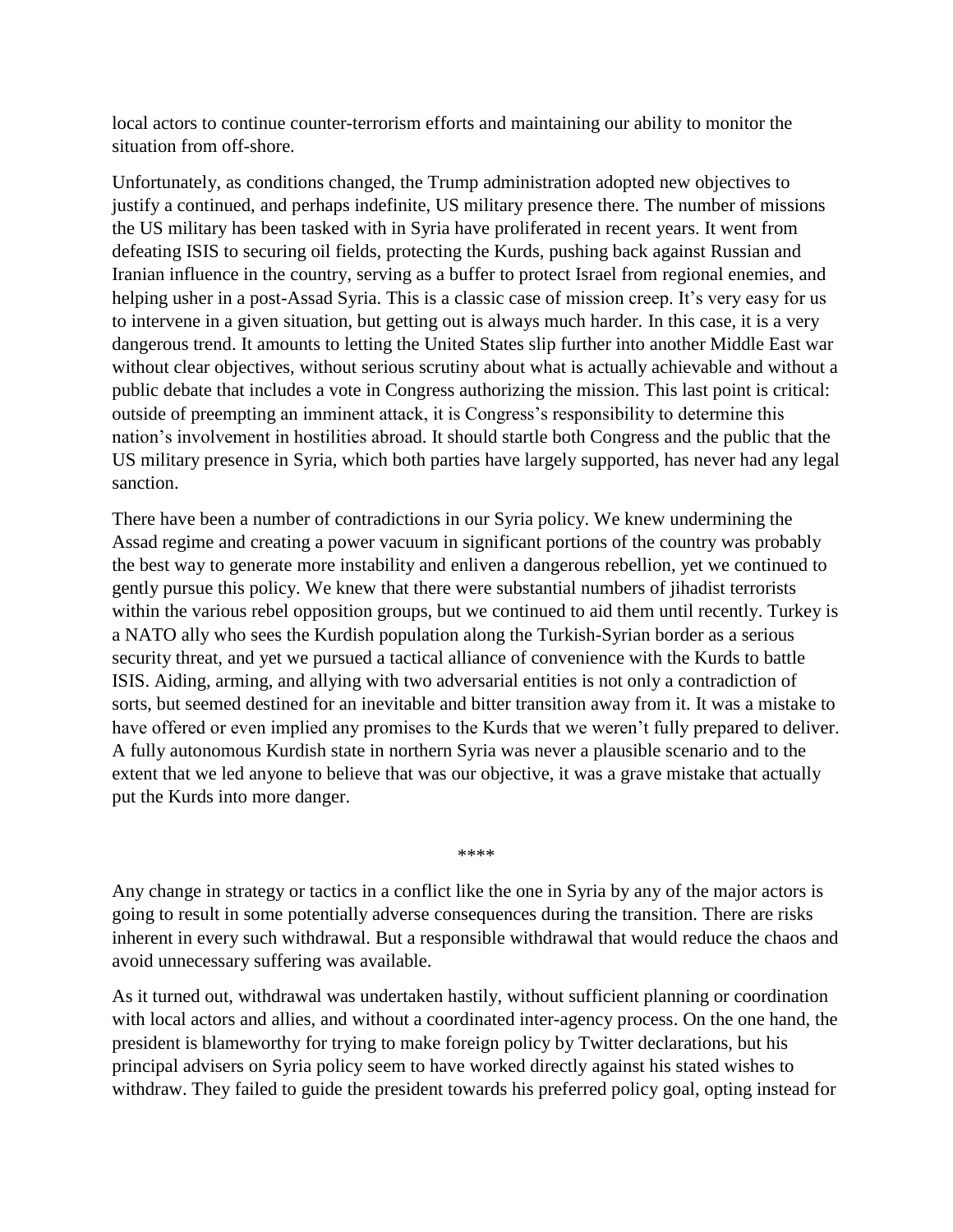local actors to continue counter-terrorism efforts and maintaining our ability to monitor the situation from off-shore.

Unfortunately, as conditions changed, the Trump administration adopted new objectives to justify a continued, and perhaps indefinite, US military presence there. The number of missions the US military has been tasked with in Syria have proliferated in recent years. It went from defeating ISIS to securing oil fields, protecting the Kurds, pushing back against Russian and Iranian influence in the country, serving as a buffer to protect Israel from regional enemies, and helping usher in a post-Assad Syria. This is a classic case of mission creep. It's very easy for us to intervene in a given situation, but getting out is always much harder. In this case, it is a very dangerous trend. It amounts to letting the United States slip further into another Middle East war without clear objectives, without serious scrutiny about what is actually achievable and without a public debate that includes a vote in Congress authorizing the mission. This last point is critical: outside of preempting an imminent attack, it is Congress's responsibility to determine this nation's involvement in hostilities abroad. It should startle both Congress and the public that the US military presence in Syria, which both parties have largely supported, has never had any legal sanction.

There have been a number of contradictions in our Syria policy. We knew undermining the Assad regime and creating a power vacuum in significant portions of the country was probably the best way to generate more instability and enliven a dangerous rebellion, yet we continued to gently pursue this policy. We knew that there were substantial numbers of jihadist terrorists within the various rebel opposition groups, but we continued to aid them until recently. Turkey is a NATO ally who sees the Kurdish population along the Turkish-Syrian border as a serious security threat, and yet we pursued a tactical alliance of convenience with the Kurds to battle ISIS. Aiding, arming, and allying with two adversarial entities is not only a contradiction of sorts, but seemed destined for an inevitable and bitter transition away from it. It was a mistake to have offered or even implied any promises to the Kurds that we weren't fully prepared to deliver. A fully autonomous Kurdish state in northern Syria was never a plausible scenario and to the extent that we led anyone to believe that was our objective, it was a grave mistake that actually put the Kurds into more danger.

\*\*\*\*

Any change in strategy or tactics in a conflict like the one in Syria by any of the major actors is going to result in some potentially adverse consequences during the transition. There are risks inherent in every such withdrawal. But a responsible withdrawal that would reduce the chaos and avoid unnecessary suffering was available.

As it turned out, withdrawal was undertaken hastily, without sufficient planning or coordination with local actors and allies, and without a coordinated inter-agency process. On the one hand, the president is blameworthy for trying to make foreign policy by Twitter declarations, but his principal advisers on Syria policy seem to have worked directly against his stated wishes to withdraw. They failed to guide the president towards his preferred policy goal, opting instead for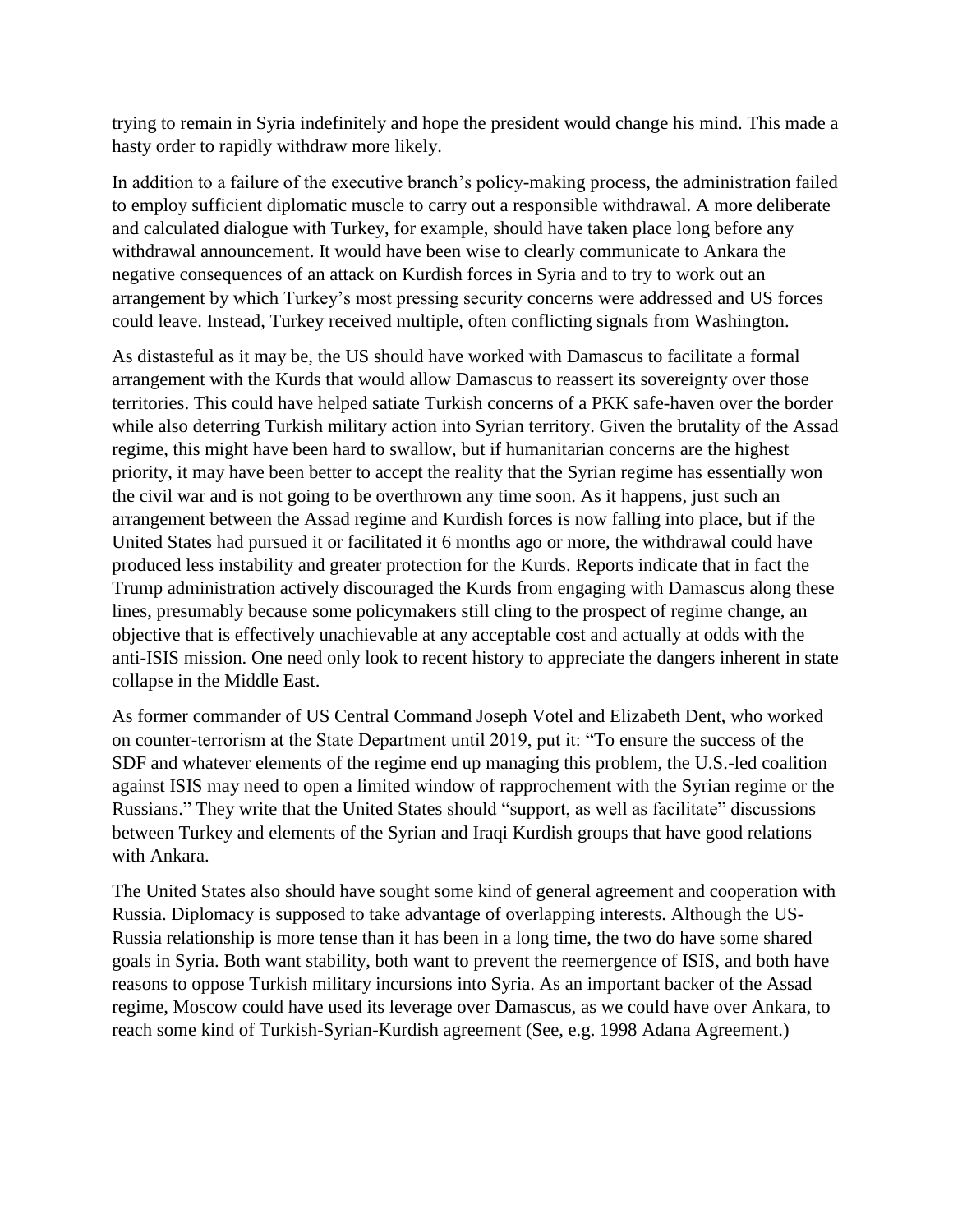trying to remain in Syria indefinitely and hope the president would change his mind. This made a hasty order to rapidly withdraw more likely.

In addition to a failure of the executive branch's policy-making process, the administration failed to employ sufficient diplomatic muscle to carry out a responsible withdrawal. A more deliberate and calculated dialogue with Turkey, for example, should have taken place long before any withdrawal announcement. It would have been wise to clearly communicate to Ankara the negative consequences of an attack on Kurdish forces in Syria and to try to work out an arrangement by which Turkey's most pressing security concerns were addressed and US forces could leave. Instead, Turkey received multiple, often conflicting signals from Washington.

As distasteful as it may be, the US should have worked with Damascus to facilitate a formal arrangement with the Kurds that would allow Damascus to reassert its sovereignty over those territories. This could have helped satiate Turkish concerns of a PKK safe-haven over the border while also deterring Turkish military action into Syrian territory. Given the brutality of the Assad regime, this might have been hard to swallow, but if humanitarian concerns are the highest priority, it may have been better to accept the reality that the Syrian regime has essentially won the civil war and is not going to be overthrown any time soon. As it happens, just such an arrangement between the Assad regime and Kurdish forces is now falling into place, but if the United States had pursued it or facilitated it 6 months ago or more, the withdrawal could have produced less instability and greater protection for the Kurds. Reports indicate that in fact the Trump administration actively discouraged the Kurds from engaging with Damascus along these lines, presumably because some policymakers still cling to the prospect of regime change, an objective that is effectively unachievable at any acceptable cost and actually at odds with the anti-ISIS mission. One need only look to recent history to appreciate the dangers inherent in state collapse in the Middle East.

As former commander of US Central Command Joseph Votel and Elizabeth Dent, who worked on counter-terrorism at the State Department until 2019, put it: "To ensure the success of the SDF and whatever elements of the regime end up managing this problem, the U.S.-led coalition against ISIS may need to open a limited window of rapprochement with the Syrian regime or the Russians." They write that the United States should "support, as well as facilitate" discussions between Turkey and elements of the Syrian and Iraqi Kurdish groups that have good relations with Ankara.

The United States also should have sought some kind of general agreement and cooperation with Russia. Diplomacy is supposed to take advantage of overlapping interests. Although the US-Russia relationship is more tense than it has been in a long time, the two do have some shared goals in Syria. Both want stability, both want to prevent the reemergence of ISIS, and both have reasons to oppose Turkish military incursions into Syria. As an important backer of the Assad regime, Moscow could have used its leverage over Damascus, as we could have over Ankara, to reach some kind of Turkish-Syrian-Kurdish agreement (See, e.g. 1998 Adana Agreement.)